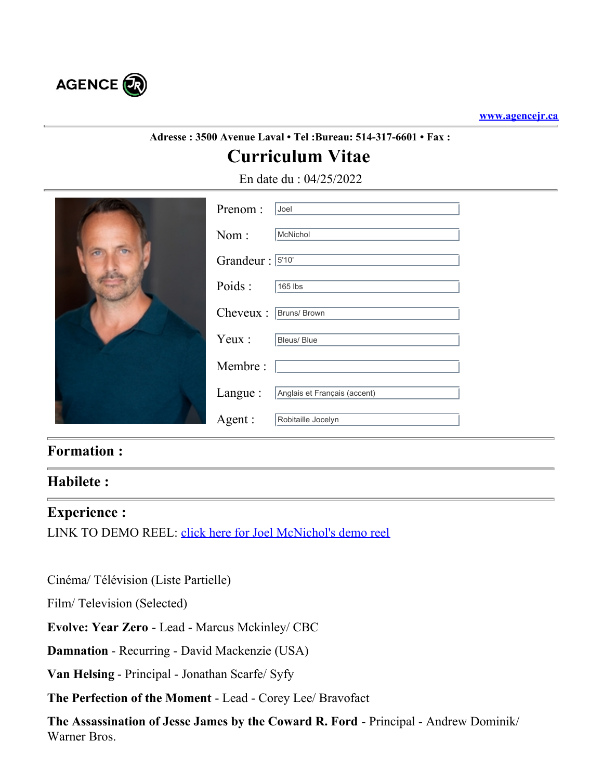

# **Adresse : 3500 Avenue Laval • Tel :Bureau: 514-317-6601 • Fax :**

# **Curriculum Vitae**

En date du : 04/25/2022

| $\overline{C}$ | Prenom:          | Joel                         |  |
|----------------|------------------|------------------------------|--|
|                | Nom:             | McNichol                     |  |
|                | Grandeur : 5'10' |                              |  |
|                | Poids:           | 165 lbs                      |  |
|                | Cheveux :        | Bruns/ Brown                 |  |
|                | Yeux :           | Bleus/ Blue                  |  |
|                | Membre:          |                              |  |
|                | Langue:          | Anglais et Français (accent) |  |
|                | Agent:           | Robitaille Jocelyn           |  |
|                |                  |                              |  |

## **Formation :**

### **Habilete :**

#### **Experience :**

LINK TO DEMO REEL: [click here for Joel McNichol's demo reel](https://www.imdb.com/video/vi757708313?playlistId=nm0574002&ref_=nm_pr_ov_vi)

Cinéma/ Télévision (Liste Partielle)

Film/ Television (Selected)

**Evolve: Year Zero** - Lead - Marcus Mckinley/ CBC

**Damnation** - Recurring - David Mackenzie (USA)

**Van Helsing** - Principal - Jonathan Scarfe/ Syfy

**The Perfection of the Moment** - Lead - Corey Lee/ Bravofact

**The Assassination of Jesse James by the Coward R. Ford** - Principal - Andrew Dominik/ Warner Bros.